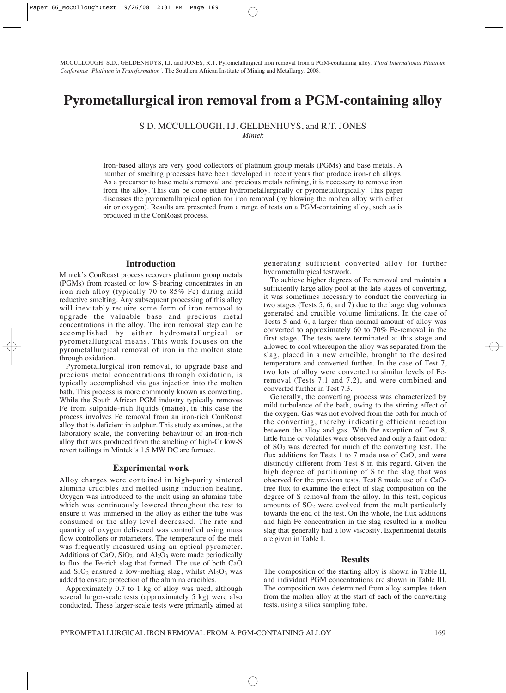MCCULLOUGH, S.D., GELDENHUYS, I.J. and JONES, R.T. Pyrometallurgical iron removal from a PGM-containing alloy. *Third International Platinum Conference 'Platinum in Transformation',* The Southern African Institute of Mining and Metallurgy, 2008.

# **Pyrometallurgical iron removal from a PGM-containing alloy**

S.D. MCCULLOUGH, I.J. GELDENHUYS, and R.T. JONES

*Mintek*

Iron-based alloys are very good collectors of platinum group metals (PGMs) and base metals. A number of smelting processes have been developed in recent years that produce iron-rich alloys. As a precursor to base metals removal and precious metals refining, it is necessary to remove iron from the alloy. This can be done either hydrometallurgically or pyrometallurgically. This paper discusses the pyrometallurgical option for iron removal (by blowing the molten alloy with either air or oxygen). Results are presented from a range of tests on a PGM-containing alloy, such as is produced in the ConRoast process.

#### **Introduction**

Mintek's ConRoast process recovers platinum group metals (PGMs) from roasted or low S-bearing concentrates in an iron-rich alloy (typically 70 to  $85\%$  Fe) during mild reductive smelting. Any subsequent processing of this alloy will inevitably require some form of iron removal to upgrade the valuable base and precious metal concentrations in the alloy. The iron removal step can be accomplished by either hydrometallurgical or pyrometallurgical means. This work focuses on the pyrometallurgical removal of iron in the molten state through oxidation.

Pyrometallurgical iron removal, to upgrade base and precious metal concentrations through oxidation, is typically accomplished via gas injection into the molten bath. This process is more commonly known as converting. While the South African PGM industry typically removes Fe from sulphide-rich liquids (matte), in this case the process involves Fe removal from an iron-rich ConRoast alloy that is deficient in sulphur. This study examines, at the laboratory scale, the converting behaviour of an iron-rich alloy that was produced from the smelting of high-Cr low-S revert tailings in Mintek's 1.5 MW DC arc furnace.

#### **Experimental work**

Alloy charges were contained in high-purity sintered alumina crucibles and melted using induction heating. Oxygen was introduced to the melt using an alumina tube which was continuously lowered throughout the test to ensure it was immersed in the alloy as either the tube was consumed or the alloy level decreased. The rate and quantity of oxygen delivered was controlled using mass flow controllers or rotameters. The temperature of the melt was frequently measured using an optical pyrometer. Additions of CaO,  $SiO<sub>2</sub>$ , and  $Al<sub>2</sub>O<sub>3</sub>$  were made periodically to flux the Fe-rich slag that formed. The use of both CaO and  $SiO_2$  ensured a low-melting slag, whilst  $Al_2O_3$  was added to ensure protection of the alumina crucibles.

Approximately 0.7 to 1 kg of alloy was used, although several larger-scale tests (approximately 5 kg) were also conducted. These larger-scale tests were primarily aimed at generating sufficient converted alloy for further hydrometallurgical testwork.

To achieve higher degrees of Fe removal and maintain a sufficiently large alloy pool at the late stages of converting, it was sometimes necessary to conduct the converting in two stages (Tests 5, 6, and 7) due to the large slag volumes generated and crucible volume limitations. In the case of Tests 5 and 6, a larger than normal amount of alloy was converted to approximately 60 to 70% Fe-removal in the first stage. The tests were terminated at this stage and allowed to cool whereupon the alloy was separated from the slag, placed in a new crucible, brought to the desired temperature and converted further. In the case of Test 7, two lots of alloy were converted to similar levels of Feremoval (Tests 7.1 and 7.2), and were combined and converted further in Test 7.3.

Generally, the converting process was characterized by mild turbulence of the bath, owing to the stirring effect of the oxygen. Gas was not evolved from the bath for much of the converting, thereby indicating efficient reaction between the alloy and gas. With the exception of Test 8, little fume or volatiles were observed and only a faint odour of SO2 was detected for much of the converting test. The flux additions for Tests 1 to 7 made use of CaO, and were distinctly different from Test 8 in this regard. Given the high degree of partitioning of S to the slag that was observed for the previous tests, Test 8 made use of a CaOfree flux to examine the effect of slag composition on the degree of S removal from the alloy. In this test, copious amounts of  $SO<sub>2</sub>$  were evolved from the melt particularly towards the end of the test. On the whole, the flux additions and high Fe concentration in the slag resulted in a molten slag that generally had a low viscosity. Experimental details are given in Table I.

## **Results**

The composition of the starting alloy is shown in Table II, and individual PGM concentrations are shown in Table III. The composition was determined from alloy samples taken from the molten alloy at the start of each of the converting tests, using a silica sampling tube.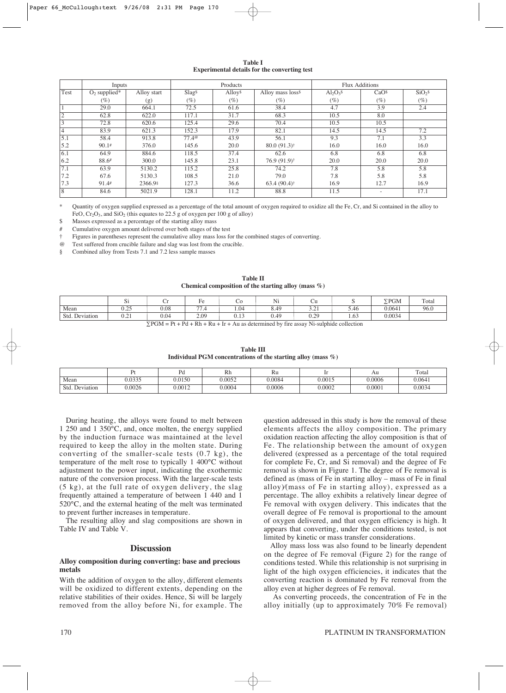|                                                     | Table I |  |  |
|-----------------------------------------------------|---------|--|--|
| <b>Experimental details for the converting test</b> |         |  |  |

|      | Inputs                     |             |                                  | Products |                               |              | <b>Flux Additions</b> |                    |
|------|----------------------------|-------------|----------------------------------|----------|-------------------------------|--------------|-----------------------|--------------------|
| Test | $O2$ supplied <sup>*</sup> | Alloy start | Slag <sup>§</sup>                | Alloys   | Alloy mass loss <sup>\$</sup> | $Al_2O_3$ \$ | CaO <sup>s</sup>      | SiO <sub>2</sub> s |
|      | (%)                        | (g)         | (%)                              | $(\%)$   | (%)                           | (%)          | $(\%)$                | $(\%)$             |
|      | 29.0                       | 664.1       | 72.5                             | 61.6     | 38.4                          | 4.7          | 3.9                   | 2.4                |
|      | 62.8                       | 622.0       | 117.1                            | 31.7     | 68.3                          | 10.5         | 8.0                   |                    |
|      | 72.8                       | 620.6       | 125.4                            | 29.6     | 70.4                          | 10.5         | 10.5                  |                    |
|      | 83.9                       | 621.3       | 152.3                            | 17.9     | 82.1                          | 14.5         | 14.5                  | 7.2                |
| 5.1  | 58.4                       | 913.8       | $77.4$ <sup><math>@</math></sup> | 43.9     | 56.1                          | 9.3          | 7.1                   | 3.3                |
| 5.2  | 90.1#                      | 376.0       | 145.6                            | 20.0     | $80.0(91.3)$ <sup>†</sup>     | 16.0         | 16.0                  | 16.0               |
| 6.1  | 64.9                       | 884.6       | 118.5                            | 37.4     | 62.6                          | 6.8          | 6.8                   | 6.8                |
| 6.2  | 88.6#                      | 300.0       | 145.8                            | 23.1     | $76.9(91.9)$ <sup>†</sup>     | 20.0         | 20.0                  | 20.0               |
| 7.1  | 63.9                       | 5130.2      | 115.2                            | 25.8     | 74.2                          | 7.8          | 5.8                   | 5.8                |
| 7.2  | 67.6                       | 5130.3      | 108.5                            | 21.0     | 79.0                          | 7.8          | 5.8                   | 5.8                |
| 7.3  | 91.4#                      | 2366.98     | 127.3                            | 36.6     | $63.4(90.4)$ <sup>†</sup>     | 16.9         | 12.7                  | 16.9               |
| 8    | 84.6                       | 5021.9      | 128.1                            | 11.2     | 88.8                          | 11.5         |                       | 17.1               |

Quantity of oxygen supplied expressed as a percentage of the total amount of oxygen required to oxidize all the Fe, Cr, and Si contained in the alloy to FeO, Cr<sub>2</sub>O<sub>3</sub>, and SiO<sub>2</sub> (this equates to 22.5 g of oxygen per 100 g of alloy)

Masses expressed as a percentage of the starting alloy mass

Cumulative oxygen amount delivered over both stages of the test

† Figures in parentheses represent the cumulative alloy mass loss for the combined stages of converting.

@ Test suffered from crucible failure and slag was lost from the crucible.

§ Combined alloy from Tests 7.1 and 7.2 less sample masses

| <b>Table II</b>                                         |  |
|---------------------------------------------------------|--|
| Chemical composition of the starting alloy (mass $\%$ ) |  |

|                               | -<br>υı               | ◡    | $\sim$                        | U     | Ni   | Uч                          |                             | $\Sigma$ PGM | Total |
|-------------------------------|-----------------------|------|-------------------------------|-------|------|-----------------------------|-----------------------------|--------------|-------|
| Mean                          | 0.25<br>∪.∠J          | 0.08 | $\overline{\phantom{a}}$<br>. | 1.04  | 8.49 | $\sim$<br>$\sim$ . $\sim$ 1 | -<br>$\overline{A}$<br>C.40 | 0.0641       | 96.0  |
| $\sim$<br>Std.<br>. Deviation | $\sim$ $\sim$<br>∪.∠⊥ | 0.04 | 2.09                          | 0.1 J | 0.49 | 0.29<br>∪.∠>                | 1.63                        | 0.0034       |       |

 $\Sigma$ PGM = Pt + Pd + Rh + Ru + Ir + Au as determined by fire assay Ni-sulphide collection

**Table III Individual PGM concentrations of the starting alloy (mass %)**

|                                |        | Pd     | Rh     | Ru     |        | Au       | Total  |
|--------------------------------|--------|--------|--------|--------|--------|----------|--------|
| Mean                           | 0.0335 | 0.0150 | 0.0052 | 0.0084 | 0.0015 | 0.0006   | 0.064  |
| $\sqrt{ }$<br>Sta<br>Deviation | 0.0026 | 0.0012 | 0.0004 | 0.0006 | 0.0002 | $0.000*$ | 0.0034 |

During heating, the alloys were found to melt between 1 250 and 1 350°C, and, once molten, the energy supplied by the induction furnace was maintained at the level required to keep the alloy in the molten state. During converting of the smaller-scale tests (0.7 kg), the temperature of the melt rose to typically 1 400°C without adjustment to the power input, indicating the exothermic nature of the conversion process. With the larger-scale tests (5 kg), at the full rate of oxygen delivery, the slag frequently attained a temperature of between 1 440 and 1 520°C, and the external heating of the melt was terminated to prevent further increases in temperature.

The resulting alloy and slag compositions are shown in Table IV and Table V.

## **Discussion**

## **Alloy composition during converting: base and precious metals**

With the addition of oxygen to the alloy, different elements will be oxidized to different extents, depending on the relative stabilities of their oxides. Hence, Si will be largely removed from the alloy before Ni, for example. The question addressed in this study is how the removal of these elements affects the alloy composition. The primary oxidation reaction affecting the alloy composition is that of Fe. The relationship between the amount of oxygen delivered (expressed as a percentage of the total required for complete Fe, Cr, and Si removal) and the degree of Fe removal is shown in Figure 1. The degree of Fe removal is defined as (mass of Fe in starting alloy – mass of Fe in final alloy)⁄(mass of Fe in starting alloy), expressed as a percentage. The alloy exhibits a relatively linear degree of Fe removal with oxygen delivery. This indicates that the overall degree of Fe removal is proportional to the amount of oxygen delivered, and that oxygen efficiency is high. It appears that converting, under the conditions tested, is not limited by kinetic or mass transfer considerations.

Alloy mass loss was also found to be linearly dependent on the degree of Fe removal (Figure 2) for the range of conditions tested. While this relationship is not surprising in light of the high oxygen efficiencies, it indicates that the converting reaction is dominated by Fe removal from the alloy even at higher degrees of Fe removal.

As converting proceeds, the concentration of Fe in the alloy initially (up to approximately 70% Fe removal)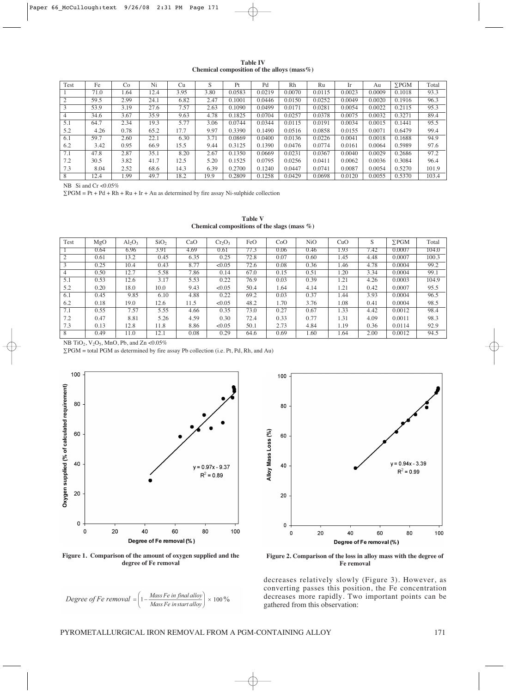| <b>Table IV</b>                                 |  |  |
|-------------------------------------------------|--|--|
| Chemical composition of the alloys (mass $\%$ ) |  |  |

| Test           | Fe   | Co   | Ni   | Cu   | S    | Pt     | Pd     | Rh     | Ru     | Ir     | Au     | $\Sigma$ PGM | Total |
|----------------|------|------|------|------|------|--------|--------|--------|--------|--------|--------|--------------|-------|
|                | 71.0 | 1.64 | 12.4 | 3.95 | 3.80 | 0.0583 | 0.0219 | 0.0070 | 0.0115 | 0.0023 | 0.0009 | 0.1018       | 93.3  |
| $\overline{2}$ | 59.5 | 2.99 | 24.1 | 6.82 | 2.47 | 0.1001 | 0.0446 | 0.0150 | 0.0252 | 0.0049 | 0.0020 | 0.1916       | 96.3  |
| 3              | 53.9 | 3.19 | 27.6 | 7.57 | 2.63 | 0.1090 | 0.0499 | 0.0171 | 0.0281 | 0.0054 | 0.0022 | 0.2115       | 95.3  |
| 4              | 34.6 | 3.67 | 35.9 | 9.63 | 4.78 | 0.1825 | 0.0704 | 0.0257 | 0.0378 | 0.0075 | 0.0032 | 0.3271       | 89.4  |
| 5.1            | 64.7 | 2.34 | 19.3 | 5.77 | 3.06 | 0.0744 | 0.0344 | 0.0115 | 0.0191 | 0.0034 | 0.0015 | 0.1441       | 95.5  |
| 5.2            | 4.26 | 0.78 | 65.2 | 17.7 | 9.97 | 0.3390 | 0.1490 | 0.0516 | 0.0858 | 0.0155 | 0.0071 | 0.6479       | 99.4  |
| 6.1            | 59.7 | 2.60 | 22.1 | 6.30 | 3.71 | 0.0869 | 0.0400 | 0.0136 | 0.0226 | 0.0041 | 0.0018 | 0.1688       | 94.9  |
| 6.2            | 3.42 | 0.95 | 66.9 | 15.5 | 9.44 | 0.3125 | 0.1390 | 0.0476 | 0.0774 | 0.0161 | 0.0064 | 0.5989       | 97.6  |
| 7.1            | 47.8 | 2.87 | 35.1 | 8.20 | 2.67 | 0.1350 | 0.0669 | 0.0231 | 0.0367 | 0.0040 | 0.0029 | 0.2686       | 97.2  |
| 7.2            | 30.5 | 3.82 | 41.7 | 12.5 | 5.20 | 0.1525 | 0.0795 | 0.0256 | 0.0411 | 0.0062 | 0.0036 | 0.3084       | 96.4  |
| 7.3            | 8.04 | 2.52 | 68.6 | 14.3 | 6.39 | 0.2700 | 0.1240 | 0.0447 | 0.0741 | 0.0087 | 0.0054 | 0.5270       | 101.9 |
| 8              | 12.4 | .99  | 49.7 | 18.2 | 19.9 | 0.2809 | 0.1258 | 0.0429 | 0.0698 | 0.0120 | 0.0055 | 0.5370       | 103.4 |

NB Si and Cr <0.05%

 $\Sigma$ PGM = Pt + Pd + Rh + Ru + Ir + Au as determined by fire assay Ni-sulphide collection

| <b>Table V</b>                                  |  |
|-------------------------------------------------|--|
| Chemical compositions of the slags (mass $\%$ ) |  |

| Test | MgO  | $Al_2O_3$ | SiO <sub>2</sub> | CaO  | $Cr_2O_3$ | FeO  | CoO  | N <sub>i</sub> O | CuO  | S    | $\Sigma$ PGM | Total |
|------|------|-----------|------------------|------|-----------|------|------|------------------|------|------|--------------|-------|
|      | 0.64 | 6.96      | 3.91             | 4.69 | 0.61      | 77.3 | 0.06 | 0.46             | 1.93 | 7.42 | 0.0007       | 104.0 |
| 2    | 0.61 | 13.2      | 0.45             | 6.35 | 0.25      | 72.8 | 0.07 | 0.60             | 1.45 | 4.48 | 0.0007       | 100.3 |
| 3    | 0.25 | 10.4      | 0.43             | 8.77 | < 0.05    | 72.6 | 0.08 | 0.36             | 1.46 | 4.78 | 0.0004       | 99.2  |
| 4    | 0.50 | 12.7      | 5.58             | 7.86 | 0.14      | 67.0 | 0.15 | 0.51             | 1.20 | 3.34 | 0.0004       | 99.1  |
| 5.1  | 0.53 | 12.6      | 3.17             | 5.53 | 0.22      | 76.9 | 0.03 | 0.39             | 1.21 | 4.26 | 0.0003       | 104.9 |
| 5.2  | 0.20 | 18.0      | 10.0             | 9.43 | < 0.05    | 50.4 | 1.64 | 4.14             | 1.21 | 0.42 | 0.0007       | 95.5  |
| 6.1  | 0.45 | 9.85      | 6.10             | 4.88 | 0.22      | 69.2 | 0.03 | 0.37             | 1.44 | 3.93 | 0.0004       | 96.5  |
| 6.2  | 0.18 | 19.0      | 12.6             | 11.5 | < 0.05    | 48.2 | 1.70 | 3.76             | 1.08 | 0.41 | 0.0004       | 98.5  |
| 7.1  | 0.55 | 7.57      | 5.55             | 4.66 | 0.35      | 73.0 | 0.27 | 0.67             | 1.33 | 4.42 | 0.0012       | 98.4  |
| 7.2  | 0.47 | 8.81      | 5.26             | 4.59 | 0.30      | 72.4 | 0.33 | 0.77             | 1.31 | 4.09 | 0.0011       | 98.3  |
| 7.3  | 0.13 | 12.8      | 11.8             | 8.86 | < 0.05    | 50.1 | 2.73 | 4.84             | 1.19 | 0.36 | 0.0114       | 92.9  |
| 8    | 0.49 | 11.0      | 12.1             | 0.08 | 0.29      | 64.6 | 0.69 | 1.60             | 1.64 | 2.00 | 0.0012       | 94.5  |

NB TiO<sub>2</sub>, V<sub>2</sub>O<sub>5</sub>, MnO, Pb, and Zn <0.05%

∑PGM = total PGM as determined by fire assay Pb collection (i.e. Pt, Pd, Rh, and Au)



**Figure 1. Comparison of the amount of oxygen supplied and the degree of Fe removal**





**Figure 2. Comparison of the loss in alloy mass with the degree of Fe removal**

decreases relatively slowly (Figure 3). However, as converting passes this position, the Fe concentration decreases more rapidly. Two important points can be gathered from this observation:

PYROMETALLURGICAL IRON REMOVAL FROM A PGM-CONTAINING ALLOY 171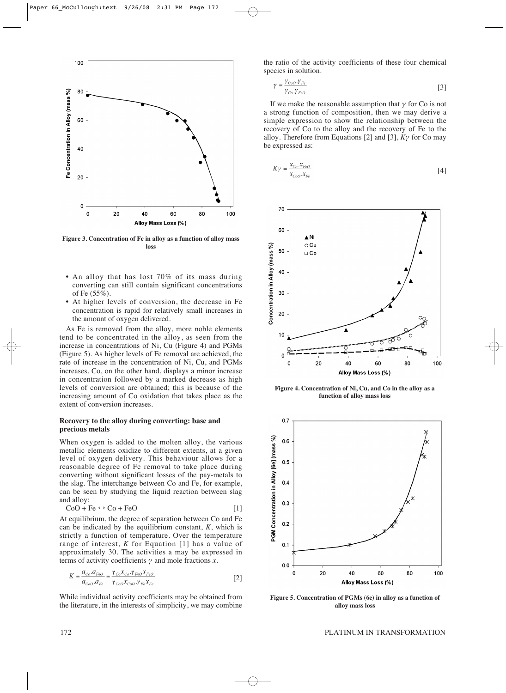

**Figure 3. Concentration of Fe in alloy as a function of alloy mass loss**

- An alloy that has lost 70% of its mass during converting can still contain significant concentrations of Fe (55%).
- At higher levels of conversion, the decrease in Fe concentration is rapid for relatively small increases in the amount of oxygen delivered.

As Fe is removed from the alloy, more noble elements tend to be concentrated in the alloy, as seen from the increase in concentrations of Ni, Cu (Figure 4) and PGMs (Figure 5). As higher levels of Fe removal are achieved, the rate of increase in the concentration of Ni, Cu, and PGMs increases. Co, on the other hand, displays a minor increase in concentration followed by a marked decrease as high levels of conversion are obtained; this is because of the increasing amount of Co oxidation that takes place as the extent of conversion increases.

# **Recovery to the alloy during converting: base and precious metals**

When oxygen is added to the molten alloy, the various metallic elements oxidize to different extents, at a given level of oxygen delivery. This behaviour allows for a reasonable degree of Fe removal to take place during converting without significant losses of the pay-metals to the slag. The interchange between Co and Fe, for example, can be seen by studying the liquid reaction between slag and alloy:

$$
CoO + Fe \leftrightarrow Co + FeO \tag{1}
$$

At equilibrium, the degree of separation between Co and Fe can be indicated by the equilibrium constant, *K*, which is strictly a function of temperature. Over the temperature range of interest, *K* for Equation [1] has a value of approximately 30. The activities a may be expressed in terms of activity coefficients *γ* and mole fractions *x*.

$$
K = \frac{a_{Co} a_{FeO}}{a_{CoO} a_{Fe}} = \frac{\gamma_{Co} x_{Co} \gamma_{FeO} x_{FeO}}{\gamma_{CoO} x_{CoO} \cdot \gamma_{Fe} x_{Fe}}
$$
 [2]

While individual activity coefficients may be obtained from the literature, in the interests of simplicity, we may combine the ratio of the activity coefficients of these four chemical species in solution.

$$
\gamma = \frac{\gamma_{CoO} \cdot \gamma_{Fe}}{\gamma_{Co} \cdot \gamma_{FeO}} \tag{3}
$$

If we make the reasonable assumption that *γ* for Co is not a strong function of composition, then we may derive a simple expression to show the relationship between the recovery of Co to the alloy and the recovery of Fe to the alloy. Therefore from Equations [2] and [3], *Kγ* for Co may be expressed as:

$$
K\gamma = \frac{x_{Co}x_{FeO}}{x_{CoO}x_{Fe}}
$$
\n<sup>(4)</sup>



**Figure 4. Concentration of Ni, Cu, and Co in the alloy as a function of alloy mass loss**



**Figure 5. Concentration of PGMs (6e) in alloy as a function of alloy mass loss**

# 172 PLATINUM IN TRANSFORMATION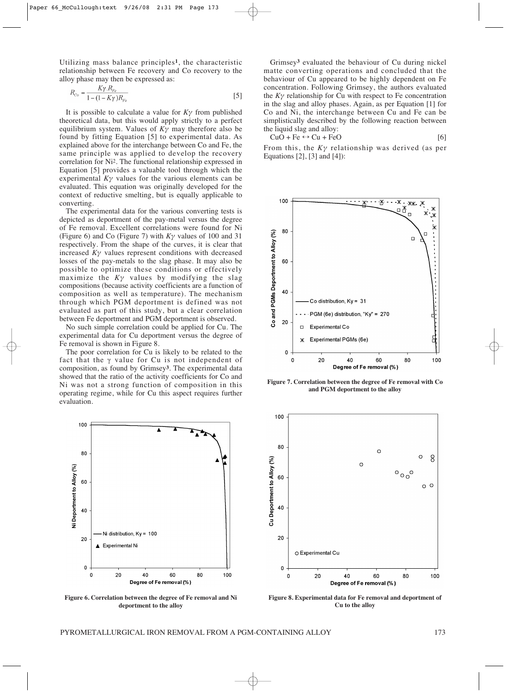Utilizing mass balance principles**1**, the characteristic relationship between Fe recovery and Co recovery to the alloy phase may then be expressed as:

$$
R_{C_o} = \frac{K\gamma \cdot R_{Fe}}{1 - (1 - K\gamma)R_{Fe}} \tag{5}
$$

It is possible to calculate a value for *Kγ* from published theoretical data, but this would apply strictly to a perfect equilibrium system. Values of *Kγ* may therefore also be found by fitting Equation [5] to experimental data. As explained above for the interchange between Co and Fe, the same principle was applied to develop the recovery correlation for Ni2. The functional relationship expressed in Equation [5] provides a valuable tool through which the experimental  $K\gamma$  values for the various elements can be evaluated. This equation was originally developed for the context of reductive smelting, but is equally applicable to converting.

The experimental data for the various converting tests is depicted as deportment of the pay-metal versus the degree of Fe removal. Excellent correlations were found for Ni (Figure 6) and Co (Figure 7) with *Kγ* values of 100 and 31 respectively. From the shape of the curves, it is clear that increased  $K\gamma$  values represent conditions with decreased losses of the pay-metals to the slag phase. It may also be possible to optimize these conditions or effectively maximize the *Kγ* values by modifying the slag compositions (because activity coefficients are a function of composition as well as temperature). The mechanism through which PGM deportment is defined was not evaluated as part of this study, but a clear correlation between Fe deportment and PGM deportment is observed.

No such simple correlation could be applied for Cu. The experimental data for Cu deportment versus the degree of Fe removal is shown in Figure 8.

The poor correlation for Cu is likely to be related to the fact that the γ value for Cu is not independent of composition, as found by Grimsey**3**. The experimental data showed that the ratio of the activity coefficients for Co and Ni was not a strong function of composition in this operating regime, while for Cu this aspect requires further evaluation.



**Figure 6. Correlation between the degree of Fe removal and Ni deportment to the alloy**

Grimsey**<sup>3</sup>** evaluated the behaviour of Cu during nickel matte converting operations and concluded that the behaviour of Cu appeared to be highly dependent on Fe concentration. Following Grimsey, the authors evaluated the  $K\gamma$  relationship for Cu with respect to Fe concentration in the slag and alloy phases. Again, as per Equation [1] for Co and Ni, the interchange between Cu and Fe can be simplistically described by the following reaction between the liquid slag and alloy:

$$
CuO + Fe \leftrightarrow Cu + FeO
$$
 [6]

From this, the *Kγ* relationship was derived (as per Equations [2], [3] and [4]):



**Figure 7. Correlation between the degree of Fe removal with Co and PGM deportment to the alloy**



**Figure 8. Experimental data for Fe removal and deportment of Cu to the alloy**

PYROMETALLURGICAL IRON REMOVAL FROM A PGM-CONTAINING ALLOY 173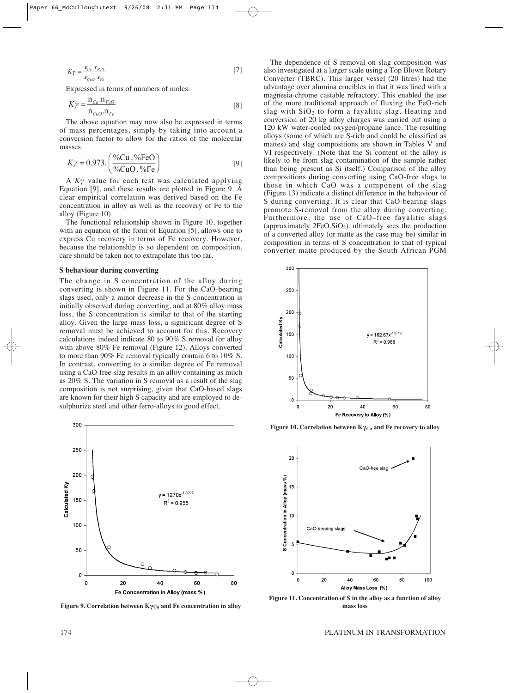$$
K\gamma = \frac{x_{Cu} \cdot x_{FeO}}{x_{CuO} \cdot x_{Fe}}
$$
 [7]

Expressed in terms of numbers of moles:

$$
K\gamma = \frac{\mathbf{n}_{Cu}.\mathbf{n}_{FeO}}{\mathbf{n}_{CuO}.\mathbf{n}_{Fe}}
$$
 [8]

The above equation may now also be expressed in terms of mass percentages, simply by taking into account a conversion factor to allow for the ratios of the molecular masses.

$$
K\gamma = 0.973. \left(\frac{\% \text{Cu.} \cdot \% \text{FeO}}{\% \text{CuO.} \cdot \% \text{Fe}}\right) \tag{9}
$$

A *Kγ* value for each test was calculated applying Equation [9], and these results are plotted in Figure 9. A clear empirical correlation was derived based on the Fe concentration in alloy as well as the recovery of Fe to the alloy (Figure 10).

The functional relationship shown in Figure 10, together with an equation of the form of Equation [5], allows one to express Cu recovery in terms of Fe recovery. However, because the relationship is so dependent on composition, care should be taken not to extrapolate this too far.

#### **S behaviour during converting**

The change in S concentration of the alloy during converting is shown in Figure 11. For the CaO-bearing slags used, only a minor decrease in the S concentration is initially observed during converting, and at 80% alloy mass loss, the S concentration is similar to that of the starting alloy. Given the large mass loss, a significant degree of S removal must be achieved to account for this. Recovery calculations indeed indicate 80 to 90% S removal for alloy with above 80% Fe removal (Figure 12). Alloys converted to more than 90% Fe removal typically contain 6 to 10% S. In contrast, converting to a similar degree of Fe removal using a CaO-free slag results in an alloy containing as much as 20% S. The variation in S removal as a result of the slag composition is not surprising, given that CaO-based slags are known for their high S capacity and are employed to desulphurize steel and other ferro-alloys to good effect.



**Figure 9. Correlation between KγCu and Fe concentration in alloy**

The dependence of S removal on slag composition was also investigated at a larger scale using a Top Blown Rotary Converter (TBRC). This larger vessel (20 litres) had the advantage over alumina crucibles in that it was lined with a magnesia-chrome castable refractory. This enabled the use of the more traditional approach of fluxing the FeO-rich slag with SiO<sub>2</sub> to form a fayalitic slag. Heating and conversion of 20 kg alloy charges was carried out using a 120 kW water-cooled oxygen/propane lance. The resulting alloys (some of which are S-rich and could be classified as mattes) and slag compositions are shown in Tables V and VI respectively. (Note that the Si content of the alloy is likely to be from slag contamination of the sample rather than being present as Si itself.) Comparison of the alloy compositions during converting using CaO-free slags to those in which CaO was a component of the slag (Figure 13) indicate a distinct difference in the behaviour of S during converting. It is clear that CaO-bearing slags promote S-removal from the alloy during converting. Furthermore, the use of CaO–free fayalitic slags (approximately 2FeO.SiO2), ultimately sees the production of a converted alloy (or matte as the case may be) similar in composition in terms of S concentration to that of typical converter matte produced by the South African PGM



**Figure 10. Correlation between Κγ<sub>Cu</sub> and Fe recovery to alloy** 



**Figure 11. Concentration of S in the alloy as a function of alloy mass loss**

#### 174 PLATINUM IN TRANSFORMATION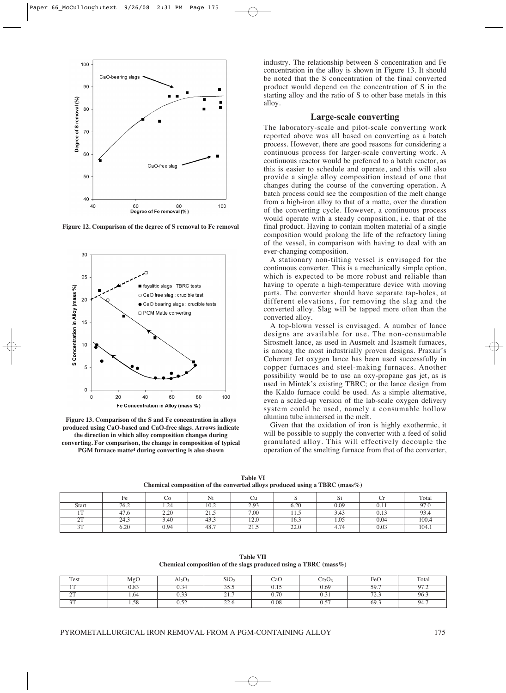

**Figure 12. Comparison of the degree of S removal to Fe removal**



**Figure 13. Comparison of the S and Fe concentration in alloys produced using CaO-based and CaO-free slags. Arrows indicate the direction in which alloy composition changes during converting. For comparison, the change in composition of typical PGM furnace matte4 during converting is also shown**

industry. The relationship between S concentration and Fe concentration in the alloy is shown in Figure 13. It should be noted that the S concentration of the final converted product would depend on the concentration of S in the starting alloy and the ratio of S to other base metals in this alloy.

#### **Large-scale converting**

The laboratory-scale and pilot-scale converting work reported above was all based on converting as a batch process. However, there are good reasons for considering a continuous process for larger-scale converting work. A continuous reactor would be preferred to a batch reactor, as this is easier to schedule and operate, and this will also provide a single alloy composition instead of one that changes during the course of the converting operation. A batch process could see the composition of the melt change from a high-iron alloy to that of a matte, over the duration of the converting cycle. However, a continuous process would operate with a steady composition, i.e. that of the final product. Having to contain molten material of a single composition would prolong the life of the refractory lining of the vessel, in comparison with having to deal with an ever-changing composition.

A stationary non-tilting vessel is envisaged for the continuous converter. This is a mechanically simple option, which is expected to be more robust and reliable than having to operate a high-temperature device with moving parts. The converter should have separate tap-holes, at different elevations, for removing the slag and the converted alloy. Slag will be tapped more often than the converted alloy.

A top-blown vessel is envisaged. A number of lance designs are available for use. The non-consumable Sirosmelt lance, as used in Ausmelt and Isasmelt furnaces, is among the most industrially proven designs. Praxair's Coherent Jet oxygen lance has been used successfully in copper furnaces and steel-making furnaces. Another possibility would be to use an oxy-propane gas jet, as is used in Mintek's existing TBRC; or the lance design from the Kaldo furnace could be used. As a simple alternative, even a scaled-up version of the lab-scale oxygen delivery system could be used, namely a consumable hollow alumina tube immersed in the melt.

Given that the oxidation of iron is highly exothermic, it will be possible to supply the converter with a feed of solid granulated alloy. This will effectively decouple the operation of the smelting furnace from that of the converter,

**Table VI Chemical composition of the converted alloys produced using a TBRC (mass%)**

|                 | Fe   | U0   | Ni               | Сu            |      | r.<br>$\mathbf{S}1$ | Сï   | Total |
|-----------------|------|------|------------------|---------------|------|---------------------|------|-------|
| Start           | 76.2 | 1.24 | 10.2             | 2.93          | 6.20 | 0.09                | 0.11 | 97.0  |
| 1 <sub>TT</sub> | 47.6 | 2.20 | $\sim$<br>ن. و ک | 7.00          | 11.5 | 3.43                | 0.13 | 93.4  |
| 2T              | 24.3 | 3.40 | 43.3             | 12.0          | 16.3 | 1.05                | 0.04 | 100.4 |
| 2T<br>JI        | 6.20 | 0.94 | 48.7             | <u>_ i</u> .J | 22.0 | 4.74                | 0.03 | 104.1 |

|        |      |                             |                  |      | Chemical composition of the slags produced using a 1 BKC (mass%) |       |       |
|--------|------|-----------------------------|------------------|------|------------------------------------------------------------------|-------|-------|
| Test   | MgO  | $\mathrm{Al}_2\mathrm{O}_3$ | SiO <sub>2</sub> | CaO  | $Cr_2O_3$                                                        | FeO   | Total |
|        | J.OJ |                             | ر. ر ر           |      | J.69                                                             |       | 97.2  |
| $\sim$ | 64   | 0.33                        | <u>.</u>         | 0.70 | U.JI                                                             | ں ۔ ب | 96.3  |

3T 1.58 0.52 22.6 0.08 0.57 69.3 94.7

**Table VII Chemical composition of the slags produced using a TBRC (mass%)**